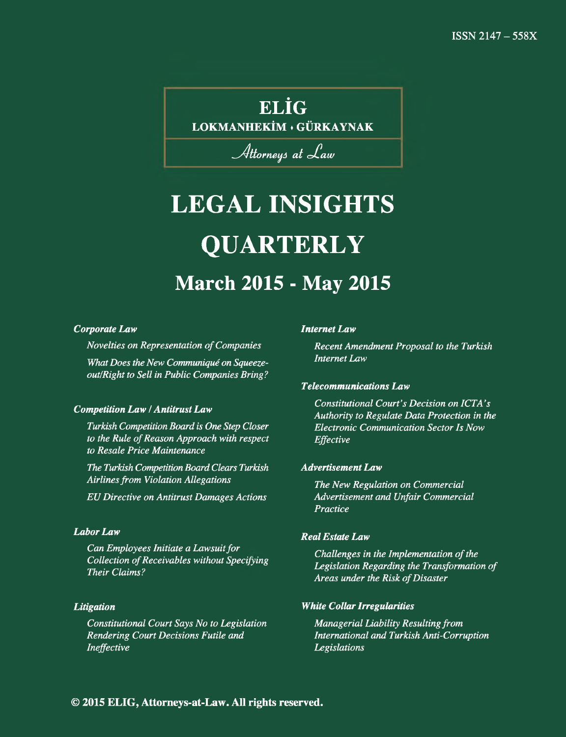# **ELÎG**

**LOKMANHEKÎM ♦ GÜRKAYNAK**

# Attorneys at Law

# **LEGAL INSIGHTS QUARTERLY March 2015 - May 2015**

### *Corporate Law*

*Novelties on Representation of Companies*

*What Does the New Communiqué on Squeezeout/Right to Sell in Public Companies Bring?*

### *Competition Law* / *Antitrust Law*

*Turkish Competition Board is One Step Closer to the Rule of Reason Approach with respect to Resale Price Maintenance*

*The Turkish Competition Board Clears Turkish Airlines from Violation Allegations*

*EU Directive on Antitrust Damages Actions*

# *Labor Law*

*Can Employees Initiate a Lawsuit for Collection of Receivables without Specifying Their Claims?*

# *Litigation*

*Constitutional Court Says No to Legislation Rendering Court Decisions Futile and Ineffective*

#### *Internet Law*

*Recent Amendment Proposal to the Turkish Internet Law*

### *Telecommunications Law*

*Constitutional Court's Decision on ICTA's Authority to Regulate Data Protection in the Electronic Communication Sector Is Now Effective*

### *Advertisement Law*

*The New Regulation on Commercial Advertisement and Unfair Commercial Practice*

### *Real Estate Law*

*Challenges in the Implementation of the Legislation Regarding the Transformation of Areas under the Risk of Disaster*

### *White Collar Irregularities*

*Managerial Liability Resulting from International and Turkish Anti-Corruption Legislations*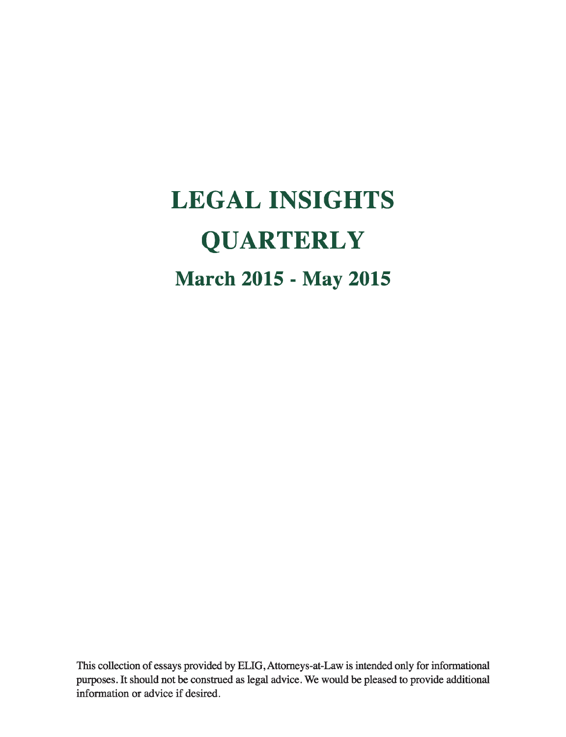# **LEGAL INSIGHTS QUARTERLY March 2015 - May 2015**

This collection of essays provided by ELIG, Attorneys-at-Law is intended only for informational purposes. It should not be construed as legal advice. We would be pleased to provide additional information or advice if desired.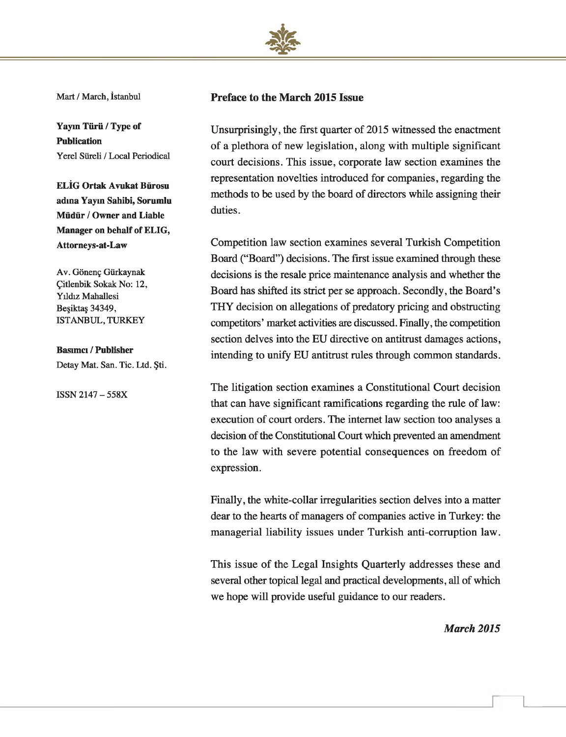

Mart / March, İstanbul

**Yayın Türü / Type of Publication** Yerel Süreli / Local Periodical

**ELİG Ortak Avukat Bürosu adına Yayın Sahibi, Sorumlu Müdür / Owner and Liable Manager on behalf of ELIG, Attorneys-at-Law**

Av. Gönenç Gürkaynak Çitlenbik Sokak No: 12, Yıldız Mahallesi Beşiktaş 34349, ISTANBUL, TURKEY

**Basımcı / Publisher** Detay Mat. San. Tic. Ltd. Şti.

ISSN 2147 - 558X

## **Preface to the March 2015 Issue**

Unsurprisingly, the first quarter of 2015 witnessed the enactment of a plethora of new legislation, along with multiple significant court decisions. This issue, corporate law section examines the representation novelties introduced for companies, regarding the methods to be used by the board of directors while assigning their duties.

Competition law section examines several Turkish Competition Board ("Board") decisions. The first issue examined through these decisions is the resale price maintenance analysis and whether the Board has shifted its strict per se approach. Secondly, the Board's THY decision on allegations of predatory pricing and obstructing competitors' market activities are discussed. Finally, the competition section delves into the EU directive on antitrust damages actions, intending to unify EU antitrust rules through common standards.

The litigation section examines a Constitutional Court decision that can have significant ramifications regarding the rule of law: execution of court orders. The internet law section too analyses a decision of the Constitutional Court which prevented an amendment to the law with severe potential consequences on freedom of expression.

Finally, the white-collar irregularities section delves into a matter dear to the hearts of managers of companies active in Turkey: the managerial liability issues under Turkish anti-corruption law.

This issue of the Legal Insights Quarterly addresses these and several other topical legal and practical developments, all of which we hope will provide useful guidance to our readers.

*March 2015*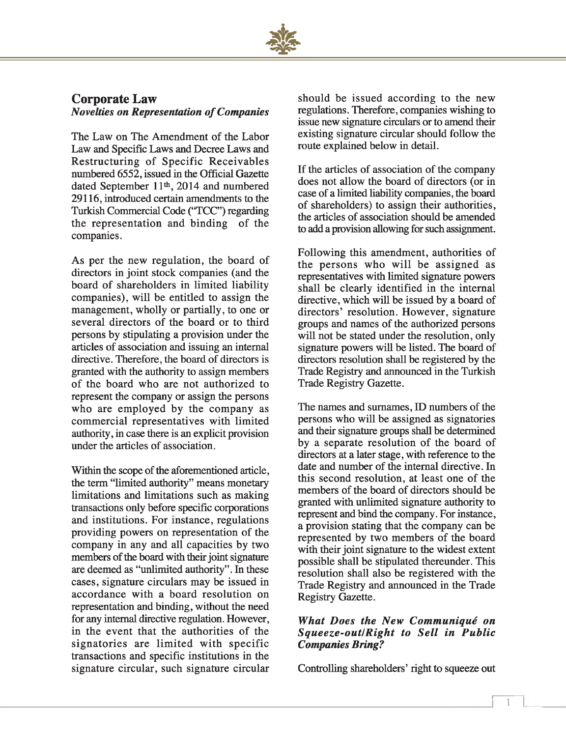

# **Corporate Law** *Novelties on Representation of Companies*

The Law on The Amendment of the Labor Law and Specific Laws and Decree Laws and Restructuring of Specific Receivables numbered 6552, issued in the Official Gazette dated September 11<sup>th</sup>, 2014 and numbered 29116, introduced certain amendments to the Turkish Commercial Code ("TCC") regarding the representation and binding of the companies.

As per the new regulation, the board of directors in joint stock companies (and the board of shareholders in limited liability companies), will be entitled to assign the management, wholly or partially, to one or several directors of the board or to third persons by stipulating a provision under the articles of association and issuing an internal directive. Therefore, the board of directors is granted with the authority to assign members of the board who are not authorized to represent the company or assign the persons who are employed by the company as commercial representatives with limited authority, in case there is an explicit provision under the articles of association.

Within the scope of the aforementioned article, the term "limited authority" means monetary limitations and limitations such as making transactions only before specific corporations and institutions. For instance, regulations providing powers on representation of the company in any and all capacities by two members of the board with their joint signature are deemed as "unlimited authority". In these cases, signature circulars may be issued in accordance with a board resolution on representation and binding, without the need for any internal directive regulation. However, in the event that the authorities of the signatories are limited with specific transactions and specific institutions in the signature circular, such signature circular

should be issued according to the new regulations. Therefore, companies wishing to issue new signature circulars or to amend their existing signature circular should follow the route explained below in detail.

If the articles of association of the company does not allow the board of directors (or in case of a limited liability companies, the board of shareholders) to assign their authorities, the articles of association should be amended to add a provision allowing for such assignment.

Following this amendment, authorities of the persons who will be assigned as representatives with limited signature powers shall be clearly identified in the internal directive, which will be issued by a board of directors' resolution. However, signature groups and names of the authorized persons will not be stated under the resolution, only signature powers will be listed. The board of directors resolution shall be registered by the Trade Registry and announced in the Turkish Trade Registry Gazette.

The names and surnames, ID numbers of the persons who will be assigned as signatories and their signature groups shall be determined by a separate resolution of the board of directors at a later stage, with reference to the date and number of the internal directive. In this second resolution, at least one of the members of the board of directors should be granted with unlimited signature authority to represent and bind the company. For instance, a provision stating that the company can be represented by two members of the board with their joint signature to the widest extent possible shall be stipulated thereunder. This resolution shall also be registered with the Trade Registry and announced in the Trade Registry Gazette.

# *What Does the New Communiqué on S q u eeze-o u t/R ig h t to S ell in P u blic Companies Bring?*

Controlling shareholders' right to squeeze out

**r**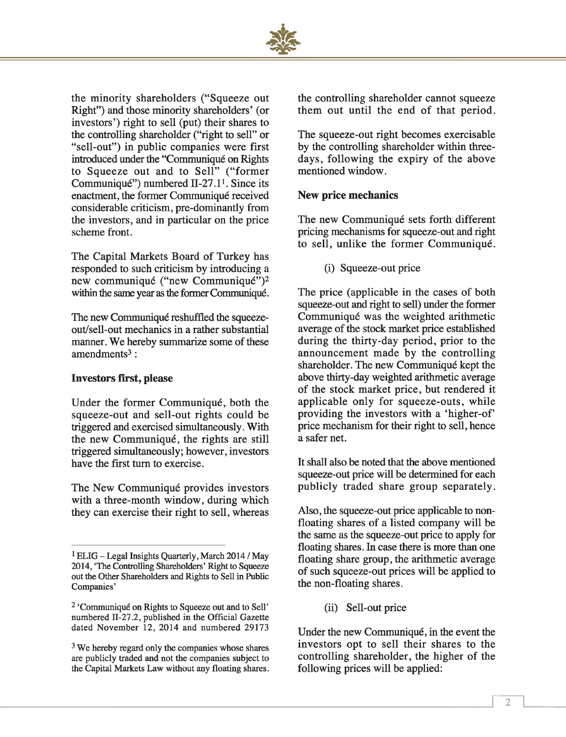

the minority shareholders ("Squeeze out Right") and those minority shareholders' (or investors') right to sell (put) their shares to the controlling shareholder ("right to sell" or "sell-out") in public companies were first introduced under the "Communiqué on Rights to Squeeze out and to Sell" ("former Communiqué") numbered 11-27.11. Since its enactment, the former Communiqué received considerable criticism, pre-dominantly from the investors, and in particular on the price scheme front.

The Capital Markets Board of Turkey has responded to such criticism by introducing a new communiqué ("new Communiqué")2 within the same year as the former Communiqué.

The new Communiqué reshuffled the squeezeout/sell-out mechanics in a rather substantial manner. We hereby summarize some of these  $amendments<sup>3</sup>$ :

### **Investors first, please**

Under the former Communiqué, both the squeeze-out and sell-out rights could be triggered and exercised simultaneously. With the new Communiqué, the rights are still triggered simultaneously; however, investors have the first turn to exercise.

The New Communiqué provides investors with a three-month window, during which they can exercise their right to sell, whereas the controlling shareholder cannot squeeze them out until the end of that period.

The squeeze-out right becomes exercisable by the controlling shareholder within threedays, following the expiry of the above mentioned window.

# **New price mechanics**

The new Communiqué sets forth different pricing mechanisms for squeeze-out and right to sell, unlike the former Communiqué.

(i) Squeeze-out price

The price (applicable in the cases of both squeeze-out and right to sell) under the former Communiqué was the weighted arithmetic average of the stock market price established during the thirty-day period, prior to the announcement made by the controlling shareholder. The new Communiqué kept the above thirty-day weighted arithmetic average of the stock market price, but rendered it applicable only for squeeze-outs, while providing the investors with a 'higher-of' price mechanism for their right to sell, hence a safer net.

It shall also be noted that the above mentioned squeeze-out price will be determined for each publicly traded share group separately.

Also, the squeeze-out price applicable to nonfloating shares of a listed company will be the same as the squeeze-out price to apply for floating shares. In case there is more than one floating share group, the arithmetic average of such squeeze-out prices will be applied to the non-floating shares.

(ii) Sell-out price

Under the new Communiqué, in the event the investors opt to sell their shares to the controlling shareholder, the higher of the following prices will be applied:

<sup>&</sup>lt;sup>1</sup> ELIG – Legal Insights Quarterly, March 2014 / May 2014, 'The Controlling Shareholders' Right to Squeeze out the Other Shareholders and Rights to Sell in Public Companies'

<sup>2 &#</sup>x27;Communiqué on Rights to Squeeze out and to Sell' numbered 11-27.2, published in the Official Gazette dated November 12, 2014 and numbered 29173

<sup>&</sup>lt;sup>3</sup> We hereby regard only the companies whose shares are publicly traded and not the companies subject to the Capital Markets Law without any floating shares.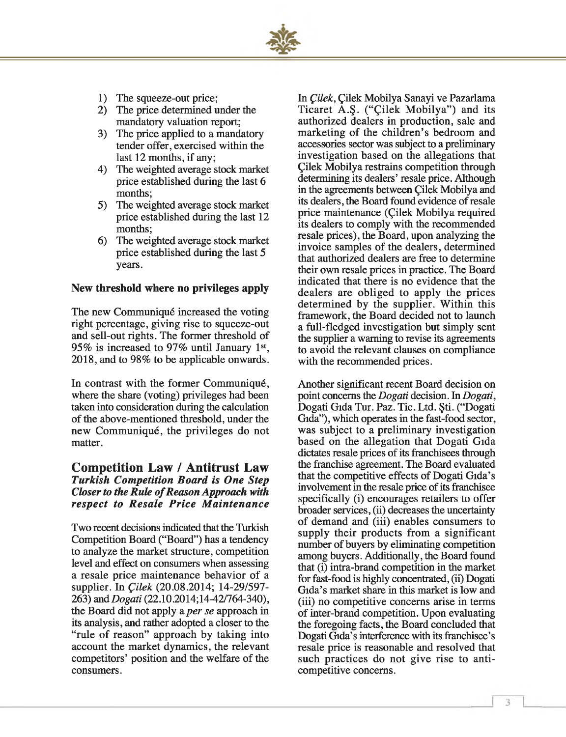- 1) The squeeze-out price;
- 2) The price determined under the mandatory valuation report;
- 3) The price applied to a mandatory tender offer, exercised within the last 12 months, if any;
- 4) The weighted average stock market price established during the last 6 months;
- 5) The weighted average stock market price established during the last 12 months;
- 6) The weighted average stock market price established during the last 5 years.

# **New threshold where no privileges apply**

The new Communiqué increased the voting right percentage, giving rise to squeeze-out and sell-out rights. The former threshold of 95% is increased to 97% until January 1st, 2018, and to 98% to be applicable onwards.

In contrast with the former Communiqué, where the share (voting) privileges had been taken into consideration during the calculation of the above-mentioned threshold, under the new Communiqué, the privileges do not matter.

# **Competition Law / Antitrust Law** *Turkish Competition Board is One Step Closer to the Rule of Reason Approach with respect to R esale P rice M aintenance*

Two recent decisions indicated that the Turkish Competition Board ("Board") has a tendency to analyze the market structure, competition level and effect on consumers when assessing a resale price maintenance behavior of a supplier. In *Çilek* (20.08.2014; 14-29/597- 263) and *Dogati* (22.10.2014;14-42/764-340), the Board did not apply a *per se* approach in its analysis, and rather adopted a closer to the "rule of reason" approach by taking into account the market dynamics, the relevant competitors' position and the welfare of the consumers.

In *Çilek,* Çilek Mobilya Sanayi ve Pazarlama Ticaret A.S. ("Cilek Mobilya") and its authorized dealers in production, sale and marketing of the children's bedroom and accessories sector was subject to a preliminary investigation based on the allegations that Çilek Mobilya restrains competition through determining its dealers' resale price. Although in the agreements between Çilek Mobilya and its dealers, the Board found evidence of resale price maintenance (Çilek Mobilya required its dealers to comply with the recommended resale prices), the Board, upon analyzing the invoice samples of the dealers, determined that authorized dealers are free to determine their own resale prices in practice. The Board indicated that there is no evidence that the dealers are obliged to apply the prices determined by the supplier. Within this framework, the Board decided not to launch a full-fledged investigation but simply sent the supplier a warning to revise its agreements to avoid the relevant clauses on compliance with the recommended prices.

Another significant recent Board decision on point concerns the *Dogati* decision. In *Dogati,* Dogati Gıda Tur. Paz. Tic. Ltd. Şti. ("Dogati Gıda"), which operates in the fast-food sector, was subject to a preliminary investigation based on the allegation that Dogati Gıda dictates resale prices of its franchisees through the franchise agreement. The Board evaluated that the competitive effects of Dogati Gida's involvement in the resale price of its franchisee specifically (i) encourages retailers to offer broader services, (ii) decreases the uncertainty of demand and (iii) enables consumers to supply their products from a significant number of buyers by eliminating competition among buyers. Additionally, the Board found that (i) intra-brand competition in the market for fast-food is highly concentrated, (ii) Dogati Gida's market share in this market is low and (iii) no competitive concerns arise in terms of inter-brand competition. Upon evaluating the foregoing facts, the Board concluded that Dogati Gida's interference with its franchisee's resale price is reasonable and resolved that such practices do not give rise to anticompetitive concerns.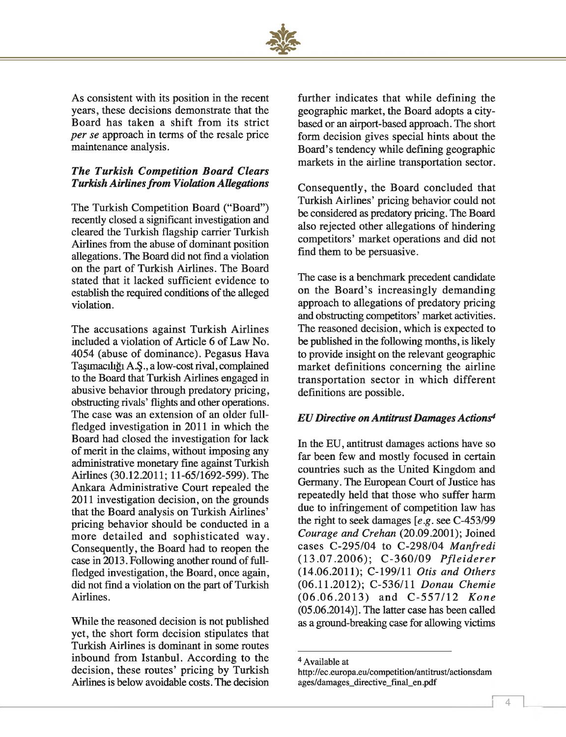

As consistent with its position in the recent years, these decisions demonstrate that the Board has taken a shift from its strict *per se* approach in terms of the resale price maintenance analysis.

# *The Turkish Competition Board Clears Turkish Airlines from Violation Allegations*

The Turkish Competition Board ("Board") recently closed a significant investigation and cleared the Turkish flagship carrier Turkish Airlines from the abuse of dominant position allegations. The Board did not find a violation on the part of Turkish Airlines. The Board stated that it lacked sufficient evidence to establish the required conditions of the alleged violation.

The accusations against Turkish Airlines included a violation of Article 6 of Law No. 4054 (abuse of dominance). Pegasus Hava Tagimaciligi A.§., a low-cost rival, complained to the Board that Turkish Airlines engaged in abusive behavior through predatory pricing, obstructing rivals' flights and other operations. The case was an extension of an older fullfledged investigation in 2011 in which the Board had closed the investigation for lack of merit in the claims, without imposing any administrative monetary fine against Turkish Airlines (30.12.2011; 11-65/1692-599). The Ankara Administrative Court repealed the 2011 investigation decision, on the grounds that the Board analysis on Turkish Airlines' pricing behavior should be conducted in a more detailed and sophisticated way. Consequently, the Board had to reopen the case in 2013. Following another round of fullfledged investigation, the Board, once again, did not find a violation on the part of Turkish Airlines.

While the reasoned decision is not published yet, the short form decision stipulates that Turkish Airlines is dominant in some routes inbound from Istanbul. According to the decision, these routes' pricing by Turkish Airlines is below avoidable costs. The decision further indicates that while defining the geographic market, the Board adopts a citybased or an airport-based approach. The short form decision gives special hints about the Board's tendency while defining geographic markets in the airline transportation sector.

Consequently, the Board concluded that Turkish Airlines' pricing behavior could not be considered as predatory pricing. The Board also rejected other allegations of hindering competitors' market operations and did not find them to be persuasive.

The case is a benchmark precedent candidate on the Board's increasingly demanding approach to allegations of predatory pricing and obstructing competitors' market activities. The reasoned decision, which is expected to be published in the following months, is likely to provide insight on the relevant geographic market definitions concerning the airline transportation sector in which different definitions are possible.

# *EU Directive on Antitrust Damages Actions\**

In the EU, antitrust damages actions have so far been few and mostly focused in certain countries such as the United Kingdom and Germany. The European Court of Justice has repeatedly held that those who suffer harm due to infringement of competition law has the right to seek damages *[e.g.* see C-453/99 *Courage and Crehan* (20.09.2001); Joined cases C-295/04 to C-298/04 *Manfredi* (13.07.2006); C-360/09 *Pfleiderer* (14.06.2011) ; C-199/11 *Otis and Others* (06.11.2012) ; C-536/11 *Donau Chemie* (06.06.2013) and C-557/12 *Kone*  $(05.06.2014)$ ]. The latter case has been called as a ground-breaking case for allowing victims 4

r

<sup>4</sup> Available at

<http://ec.europa.eu/competition/antitrast/actionsdam> ages/damages\_directive\_final\_en.pdf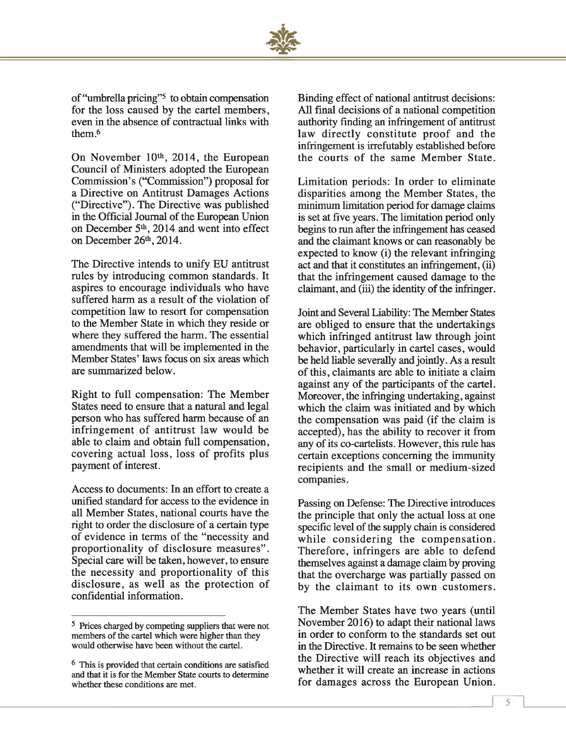

of "umbrella pricing"5 to obtain compensation for the loss caused by the cartel members, even in the absence of contractual links with them<sup>6</sup>

On November 10<sup>th</sup>, 2014, the European Council of Ministers adopted the European Commission's ("Commission") proposal for a Directive on Antitrust Damages Actions ("Directive"). The Directive was published in the Official Journal of the European Union on December 5th, 2014 and went into effect on December 26<sup>th</sup>, 2014.

The Directive intends to unify EU antitrust rules by introducing common standards. It aspires to encourage individuals who have suffered harm as a result of the violation of competition law to resort for compensation to the Member State in which they reside or where they suffered the harm. The essential amendments that will be implemented in the Member States' laws focus on six areas which are summarized below.

Right to full compensation: The Member States need to ensure that a natural and legal person who has suffered harm because of an infringement of antitrust law would be able to claim and obtain full compensation, covering actual loss, loss of profits plus payment of interest.

Access to documents: In an effort to create a unified standard for access to the evidence in all Member States, national courts have the right to order the disclosure of a certain type of evidence in terms of the "necessity and proportionality of disclosure measures". Special care will be taken, however, to ensure the necessity and proportionality of this disclosure, as well as the protection of confidential information.

Binding effect of national antitrust decisions: All final decisions of a national competition authority finding an infringement of antitrust law directly constitute proof and the infringement is irrefutably established before the courts of the same Member State.

Limitation periods: In order to eliminate disparities among the Member States, the minimum limitation period for damage claims is set at five years. The limitation period only begins to run after the infringement has ceased and the claimant knows or can reasonably be expected to know (i) the relevant infringing act and that it constitutes an infringement, (ii) that the infringement caused damage to the claimant, and (iii) the identity of the infringer.

Joint and Several Liability: The Member States are obliged to ensure that the undertakings which infringed antitrust law through joint behavior, particularly in cartel cases, would be held liable severally and jointly. As a result of this, claimants are able to initiate a claim against any of the participants of the cartel. Moreover, the infringing undertaking, against which the claim was initiated and by which the compensation was paid (if the claim is accepted), has the ability to recover it from any of its co-cartelists. However, this rule has certain exceptions concerning the immunity recipients and the small or medium-sized companies.

Passing on Defense: The Directive introduces the principle that only the actual loss at one specific level of the supply chain is considered while considering the compensation. Therefore, infringers are able to defend themselves against a damage claim by proving that the overcharge was partially passed on by the claimant to its own customers.

The Member States have two years (until November 2016) to adapt their national laws in order to conform to the standards set out in the Directive. It remains to be seen whether the Directive will reach its objectives and whether it will create an increase in actions for damages across the European Union.

<sup>5</sup> Prices charged by competing suppliers that were not members of the cartel which were higher than they would otherwise have been without the cartel.

<sup>6</sup> This is provided that certain conditions are satisfied and that it is for the Member State courts to determine whether these conditions are met.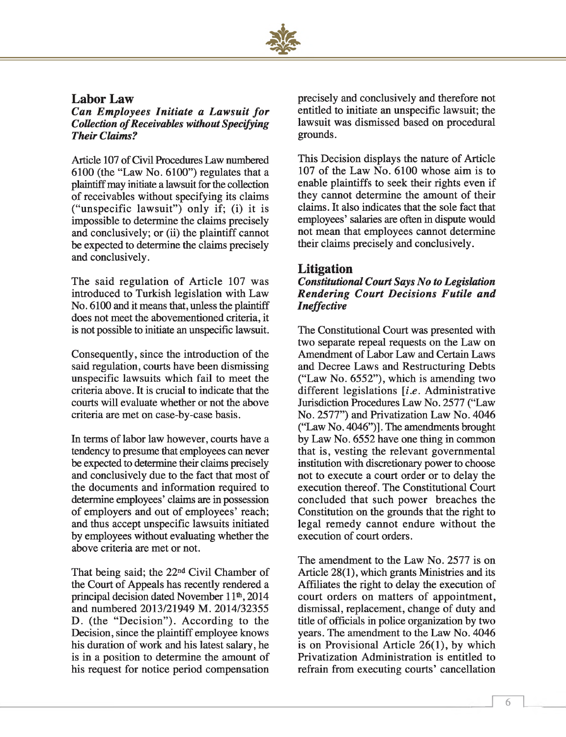

# **Labor Law**

*Can Employees Initiate a Lawsuit for* **Collection of Receivables without Specifying** *Their Claims?*

Article 107 of Civil Procedures Law numbered 6100 (the "Law No. 6100") regulates that a plaintiff may initiate a lawsuit for the collection of receivables without specifying its claims ("unspecific law suit") only if; (i) it is impossible to determine the claims precisely and conclusively; or (ii) the plaintiff cannot be expected to determine the claims precisely and conclusively.

The said regulation of Article 107 was introduced to Turkish legislation with Law No. 6100 and it means that, unless the plaintiff does not meet the abovementioned criteria, it is not possible to initiate an unspecific lawsuit.

Consequently, since the introduction of the said regulation, courts have been dismissing unspecific lawsuits which fail to meet the criteria above. It is crucial to indicate that the courts will evaluate whether or not the above criteria are met on case-by-case basis.

In terms of labor law however, courts have a tendency to presume that employees can never be expected to determine their claims precisely and conclusively due to the fact that most of the documents and information required to determine employees' claims are in possession of employers and out of employees' reach; and thus accept unspecific lawsuits initiated by employees without evaluating whether the above criteria are met or not.

That being said; the 22nd Civil Chamber of the Court of Appeals has recently rendered a principal decision dated November 11<sup>th</sup>, 2014 and numbered 2013/21949 M. 2014/32355 D. (the "Decision"). According to the Decision, since the plaintiff employee knows his duration of work and his latest salary, he is in a position to determine the amount of his request for notice period compensation precisely and conclusively and therefore not entitled to initiate an unspecific lawsuit; the lawsuit was dismissed based on procedural grounds.

This Decision displays the nature of Article 107 of the Law No. 6100 whose aim is to enable plaintiffs to seek their rights even if they cannot determine the amount of their claims. It also indicates that the sole fact that employees' salaries are often in dispute would not mean that employees cannot determine their claims precisely and conclusively.

# **Litigation**

# *Constitutional Court Says No to Legislation* **Rendering Court Decisions Futile and** *Ineffective*

The Constitutional Court was presented with two separate repeal requests on the Law on Amendment of Labor Law and Certain Laws and Decree Laws and Restructuring Debts ("Law No. 6552"), which is amending two different legislations *[i.e.* Administrative Jurisdiction Procedures Law No. 2577 ("Law No. 2577") and Privatization Law No. 4046 ("Law No. 4046")]. The amendments brought by Law No. 6552 have one thing in common that is, vesting the relevant governmental institution with discretionary power to choose not to execute a court order or to delay the execution thereof. The Constitutional Court concluded that such power breaches the Constitution on the grounds that the right to legal remedy cannot endure without the execution of court orders.

The amendment to the Law No. 2577 is on Article 28(1), which grants Ministries and its Affiliates the right to delay the execution of court orders on matters of appointment, dismissal, replacement, change of duty and title of officials in police organization by two years. The amendment to the Law No. 4046 is on Provisional Article 26(1), by which Privatization Administration is entitled to refrain from executing courts' cancellation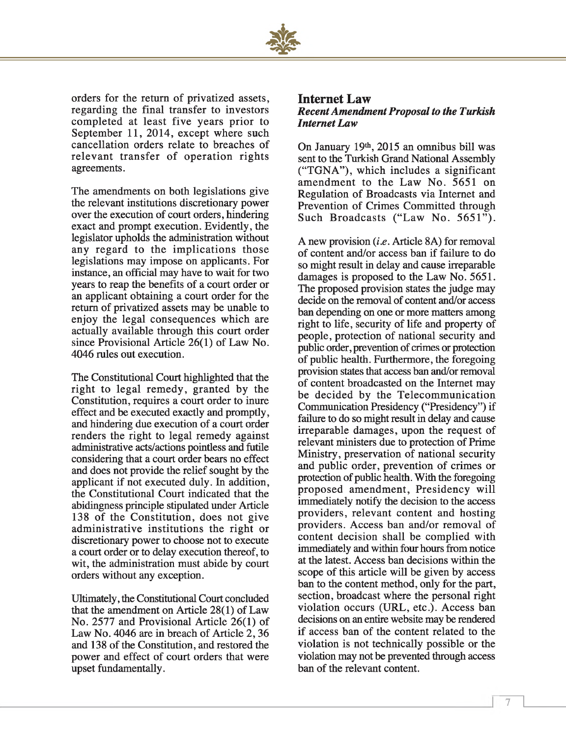

orders for the return of privatized assets, regarding the final transfer to investors completed at least five years prior to September 11, 2014, except where such cancellation orders relate to breaches of relevant transfer of operation rights agreements.

The amendments on both legislations give the relevant institutions discretionary power over the execution of court orders, hindering exact and prompt execution. Evidently, the legislator upholds the administration without any regard to the implications those legislations may impose on applicants. For instance, an official may have to wait for two years to reap the benefits of a court order or an applicant obtaining a court order for the return of privatized assets may be unable to enjoy the legal consequences which are actually available through this court order since Provisional Article 26(1) of Law No. 4046 rules out execution.

The Constitutional Court highlighted that the right to legal remedy, granted by the Constitution, requires a court order to inure effect and be executed exactly and promptly, and hindering due execution of a court order renders the right to legal remedy against administrative acts/actions pointless and futile considering that a court order bears no effect and does not provide the relief sought by the applicant if not executed duly. In addition, the Constitutional Court indicated that the abidingness principle stipulated under Article 138 of the Constitution, does not give administrative institutions the right or discretionary power to choose not to execute a court order or to delay execution thereof, to wit, the administration must abide by court orders without any exception.

Ultimately, the Constitutional Court concluded that the amendment on Article 28(1) of Law No. 2577 and Provisional Article 26(1) of Law No. 4046 are in breach of Article 2, 36 and 138 of the Constitution, and restored the power and effect of court orders that were upset fundamentally.

# **Internet Law** *Recent Amendment Proposal to the Turkish Internet Law*

On January 19th, 2015 an omnibus bill was sent to the Turkish Grand National Assembly ("TGNA"), which includes a significant amendment to the Law No. 5651 on Regulation of Broadcasts via Internet and Prevention of Crimes Committed through Such Broadcasts ("Law No. 5651").

A new provision *(i.e.* Article 8A) for removal of content and/or access ban if failure to do so might result in delay and cause irreparable damages is proposed to the Law No. 5651. The proposed provision states the judge may decide on the removal of content and/or access ban depending on one or more matters among right to life, security of life and property of people, protection of national security and public order, prevention of crimes or protection of public health. Furthermore, the foregoing provision states that access ban and/or removal of content broadcasted on the Internet may be decided by the Telecommunication Communication Presidency ("Presidency") if failure to do so might result in delay and cause irreparable damages, upon the request of relevant ministers due to protection of Prime Ministry, preservation of national security and public order, prevention of crimes or protection of public health. With the foregoing proposed amendment, Presidency will immediately notify the decision to the access providers, relevant content and hosting providers. Access ban and/or removal of content decision shall be complied with immediately and within four hours from notice at the latest. Access ban decisions within the scope of this article will be given by access ban to the content method, only for the part, section, broadcast where the personal right violation occurs (URL, etc.). Access ban decisions on an entire website may be rendered if access ban of the content related to the violation is not technically possible or the violation may not be prevented through access ban of the relevant content.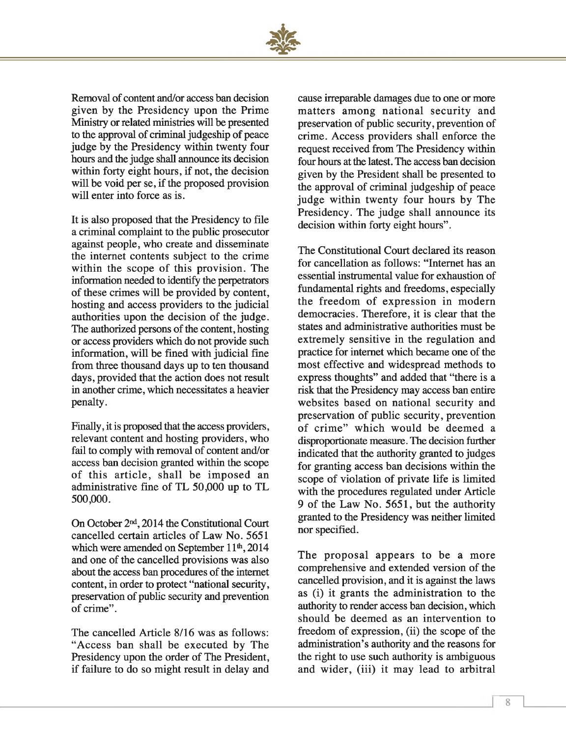

Removal of content and/or access ban decision given by the Presidency upon the Prime Ministry or related ministries will be presented to the approval of criminal judgeship of peace judge by the Presidency within twenty four hours and the judge shall announce its decision within forty eight hours, if not, the decision will be void per se, if the proposed provision will enter into force as is.

It is also proposed that the Presidency to file a criminal complaint to the public prosecutor against people, who create and disseminate the internet contents subject to the crime within the scope of this provision. The information needed to identify the perpetrators of these crimes will be provided by content, hosting and access providers to the judicial authorities upon the decision of the judge. The authorized persons of the content, hosting or access providers which do not provide such information, will be fined with judicial fine from three thousand days up to ten thousand days, provided that the action does not result in another crime, which necessitates a heavier penalty.

Finally, it is proposed that the access providers, relevant content and hosting providers, who fail to comply with removal of content and/or access ban decision granted within the scope of this article, shall be imposed an administrative fine of TL 50,000 up to TL 500,000.

On October 2nd, 2014 the Constitutional Court cancelled certain articles of Law No. 5651 which were amended on September  $11<sup>th</sup>$ , 2014 and one of the cancelled provisions was also about the access ban procedures of the internet content, in order to protect "national security, preservation of public security and prevention of crime".

The cancelled Article 8/16 was as follows: "Access ban shall be executed by The Presidency upon the order of The President, if failure to do so might result in delay and

cause irreparable damages due to one or more matters among national security and preservation of public security, prevention of crime. Access providers shall enforce the request received from The Presidency within four hours at the latest. The access ban decision given by the President shall be presented to the approval of criminal judgeship of peace judge within twenty four hours by The Presidency. The judge shall announce its decision within forty eight hours".

The Constitutional Court declared its reason for cancellation as follows: "Internet has an essential instrumental value for exhaustion of fundamental rights and freedoms, especially the freedom of expression in modern democracies. Therefore, it is clear that the states and administrative authorities must be extremely sensitive in the regulation and practice for internet which became one of the most effective and widespread methods to express thoughts" and added that "there is a risk that the Presidency may access ban entire websites based on national security and preservation of public security, prevention of crime" which would be deemed a disproportionate measure. The decision further indicated that the authority granted to judges for granting access ban decisions within the scope of violation of private life is limited with the procedures regulated under Article 9 of the Law No. 5651, but the authority granted to the Presidency was neither limited nor specified.

The proposal appears to be a more comprehensive and extended version of the cancelled provision, and it is against the laws as (i) it grants the administration to the authority to render access ban decision, which should be deemed as an intervention to freedom of expression, (ii) the scope of the administration's authority and the reasons for the right to use such authority is ambiguous and wider, (iii) it may lead to arbitral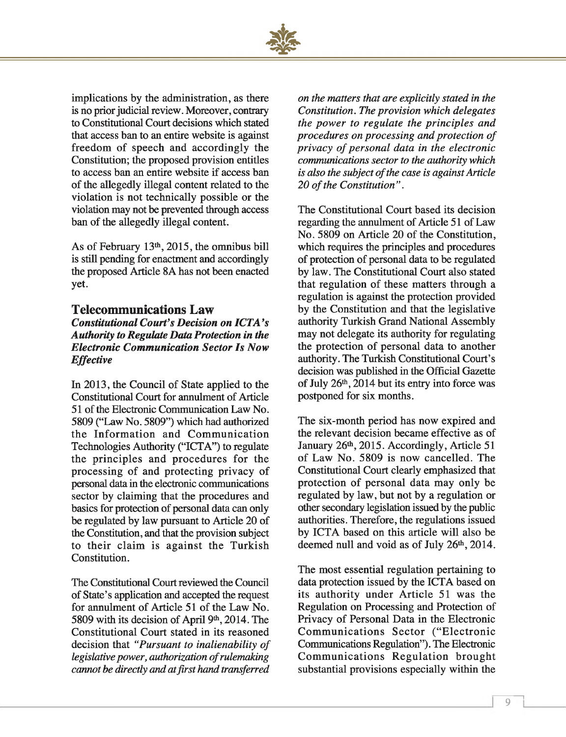

implications by the administration, as there is no prior judicial review. Moreover, contrary to Constitutional Court decisions which stated that access ban to an entire website is against freedom of speech and accordingly the Constitution; the proposed provision entitles to access ban an entire website if access ban of the allegedly illegal content related to the violation is not technically possible or the violation may not be prevented through access ban of the allegedly illegal content.

As of February 13th, 2015, the omnibus bill is still pending for enactment and accordingly the proposed Article 8A has not been enacted yet.

# **Telecommunications Law**

# *Constitutional Court's Decision on ICTA's Authority to Regulate Data Protection in the Electronic Communication Sector Is Now Effective*

In 2013, the Council of State applied to the Constitutional Court for annulment of Article 51 of the Electronic Communication Law No. 5809 ("Law No. 5809") which had authorized the Information and Communication Technologies Authority ("ICTA") to regulate the principles and procedures for the processing of and protecting privacy of personal data in the electronic communications sector by claiming that the procedures and basics for protection of personal data can only be regulated by law pursuant to Article 20 of the Constitution, and that the provision subject to their claim is against the Turkish Constitution.

The Constitutional Court reviewed the Council of State's application and accepted the request for annulment of Article 51 of the Law No. 5809 with its decision of April 9th, 2014. The Constitutional Court stated in its reasoned decision that "Pursuant to inalienability of *legislative power, authorization of rulemaking cannot be directly and at first hand transferred*

*on the matters that are explicitly stated in the Constitution. The provision which delegates the power to regulate the principles and procedures on processing and protection of privacy of personal data in the electronic communications sector to the authority which* is also the subject of the case is against Article 20 of the Constitution".

The Constitutional Court based its decision regarding the annulment of Article 51 of Law No. 5809 on Article 20 of the Constitution, which requires the principles and procedures of protection of personal data to be regulated by law. The Constitutional Court also stated that regulation of these matters through a regulation is against the protection provided by the Constitution and that the legislative authority Turkish Grand National Assembly may not delegate its authority for regulating the protection of personal data to another authority. The Turkish Constitutional Court's decision was published in the Official Gazette of July  $26<sup>th</sup>$ ,  $2014$  but its entry into force was postponed for six months.

The six-month period has now expired and the relevant decision became effective as of January 26<sup>th</sup>, 2015. Accordingly, Article 51 of Law No. 5809 is now cancelled. The Constitutional Court clearly emphasized that protection of personal data may only be regulated by law, but not by a regulation or other secondary legislation issued by the public authorities. Therefore, the regulations issued by ICTA based on this article will also be deemed null and void as of July 26th, 2014.

The most essential regulation pertaining to data protection issued by the ICTA based on its authority under Article 51 was the Regulation on Processing and Protection of Privacy of Personal Data in the Electronic Communications Sector ("Electronic Communications Regulation"). The Electronic Communications Regulation brought substantial provisions especially within the

1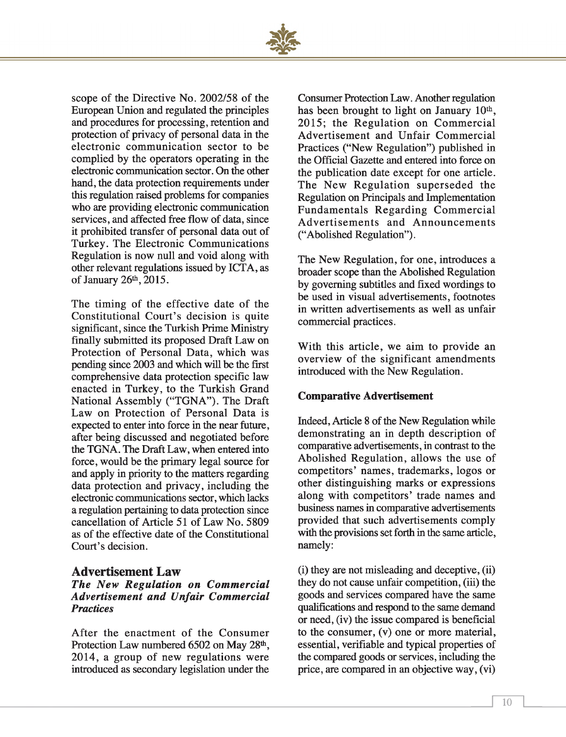

scope of the Directive No. 2002/58 of the European Union and regulated the principles and procedures for processing, retention and protection of privacy of personal data in the electronic communication sector to be complied by the operators operating in the electronic communication sector. On the other hand, the data protection requirements under this regulation raised problems for companies who are providing electronic communication services, and affected free flow of data, since it prohibited transfer of personal data out of Turkey. The Electronic Communications Regulation is now null and void along with other relevant regulations issued by ICTA, as of January 26<sup>th</sup>, 2015.

The timing of the effective date of the Constitutional Court's decision is quite significant, since the Turkish Prime Ministry finally submitted its proposed Draft Law on Protection of Personal Data, which was pending since 2003 and which will be the first comprehensive data protection specific law enacted in Turkey, to the Turkish Grand National Assembly ("TGNA"). The Draft Law on Protection of Personal Data is expected to enter into force in the near future, after being discussed and negotiated before the TGNA. The Draft Law, when entered into force, would be the primary legal source for and apply in priority to the matters regarding data protection and privacy, including the electronic communications sector, which lacks a regulation pertaining to data protection since cancellation of Article 51 of Law No. 5809 as of the effective date of the Constitutional Court's decision.

# **Advertisement Law**

# *The New Regulation on Commercial A dvertisem ent and Unfair Com m ercial Practices*

After the enactment of the Consumer Protection Law numbered 6502 on May 28<sup>th</sup>, 2014, a group of new regulations were introduced as secondary legislation under the

Consumer Protection Law. Another regulation has been brought to light on January  $10<sup>th</sup>$ , 2015; the Regulation on Commercial Advertisement and Unfair Commercial Practices ("New Regulation") published in the Official Gazette and entered into force on the publication date except for one article. The New Regulation superseded the Regulation on Principals and Implementation Fundamentals Regarding Commercial Advertisements and Announcements ("Abolished Regulation").

The New Regulation, for one, introduces a broader scope than the Abolished Regulation by governing subtitles and fixed wordings to be used in visual advertisements, footnotes in written advertisements as well as unfair commercial practices.

With this article, we aim to provide an overview of the significant amendments introduced with the New Regulation.

# **Comparative Advertisement**

Indeed, Article 8 of the New Regulation while demonstrating an in depth description of comparative advertisements, in contrast to the Abolished Regulation, allows the use of competitors' names, trademarks, logos or other distinguishing marks or expressions along with competitors' trade names and business names in comparative advertisements provided that such advertisements comply with the provisions set forth in the same article, namely:

(i) they are not misleading and deceptive, (ii) they do not cause unfair competition, (iii) the goods and services compared have the same qualifications and respond to the same demand or need, (iv) the issue compared is beneficial to the consumer, (v) one or more material, essential, verifiable and typical properties of the compared goods or services, including the price, are compared in an objective way, (vi)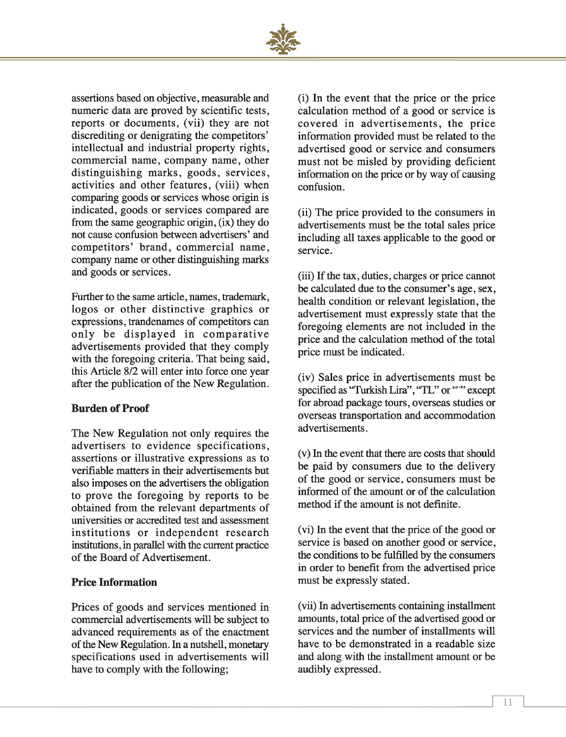

assertions based on objective, measurable and numeric data are proved by scientific tests, reports or documents, (vii) they are not discrediting or denigrating the competitors' intellectual and industrial property rights, commercial name, company name, other distinguishing marks, goods, services, activities and other features, (viii) when comparing goods or services whose origin is indicated, goods or services compared are from the same geographic origin, (ix) they do not cause confusion between advertisers' and competitors' brand, commercial name, company name or other distinguishing marks and goods or services.

Further to the same article, names, trademark, logos or other distinctive graphics or expressions, trandenames of competitors can only be displayed in comparative advertisements provided that they comply with the foregoing criteria. That being said, this Article 8/2 will enter into force one year after the publication of the New Regulation.

# **Burden of Proof**

The New Regulation not only requires the advertisers to evidence specifications, assertions or illustrative expressions as to verifiable matters in their advertisements but also imposes on the advertisers the obligation to prove the foregoing by reports to be obtained from the relevant departments of universities or accredited test and assessment institutions or independent research institutions, in parallel with the current practice of the Board of Advertisement.

# **Price Information**

Prices of goods and services mentioned in commercial advertisements will be subject to advanced requirements as of the enactment of the New Regulation. In a nutshell, monetary specifications used in advertisements will have to comply with the following;

(i) In the event that the price or the price calculation method of a good or service is covered in advertisements, the price information provided must be related to the advertised good or service and consumers must not be misled by providing deficient information on the price or by way of causing confusion.

(ii) The price provided to the consumers in advertisements must be the total sales price including all taxes applicable to the good or service.

(iii) If the tax, duties, charges or price cannot be calculated due to the consumer's age, sex, health condition or relevant legislation, the advertisement must expressly state that the foregoing elements are not included in the price and the calculation method of the total price must be indicated.

(iv) Sales price in advertisements must be specified as "Turkish Lira", "TL" or """ except for abroad package tours, overseas studies or overseas transportation and accommodation advertisements.

(v) In the event that there are costs that should be paid by consumers due to the delivery of the good or service, consumers must be informed of the amount or of the calculation method if the amount is not definite.

(vi) In the event that the price of the good or service is based on another good or service, the conditions to be fulfilled by the consumers in order to benefit from the advertised price must be expressly stated.

(vii) In advertisements containing installment amounts, total price of the advertised good or services and the number of installments will have to be demonstrated in a readable size and along with the installment amount or be audibly expressed.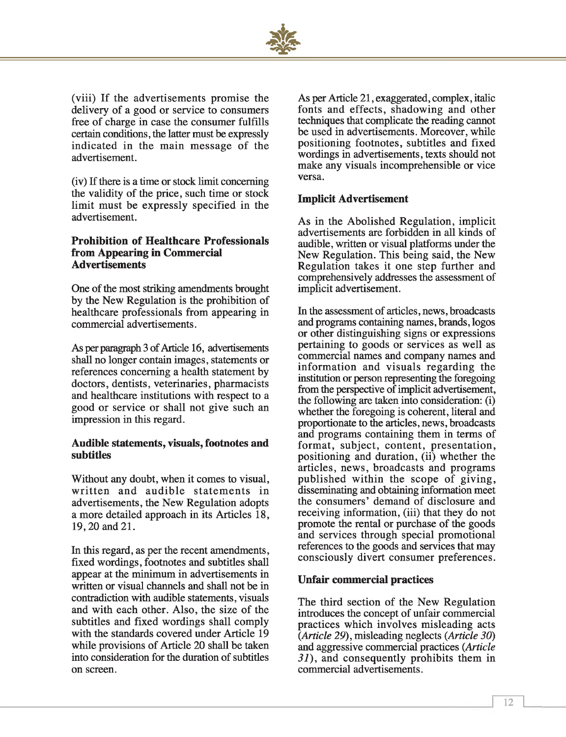

(viii) If the advertisements promise the delivery of a good or service to consumers free of charge in case the consumer fulfills certain conditions, the latter must be expressly indicated in the main message of the advertisement.

(iv) If there is a time or stock limit concerning the validity of the price, such time or stock limit must be expressly specified in the advertisement.

# **Prohibition of Healthcare Professionals from Appearing in Commercial Advertisements**

One of the most striking amendments brought by the New Regulation is the prohibition of healthcare professionals from appearing in commercial advertisements.

As per paragraph 3 of Article 16, advertisements shall no longer contain images, statements or references concerning a health statement by doctors, dentists, veterinaries, pharmacists and healthcare institutions with respect to a good or service or shall not give such an impression in this regard.

# **Audible statements, visuals, footnotes and subtitles**

Without any doubt, when it comes to visual, written and audible statements in advertisements, the New Regulation adopts a more detailed approach in its Articles 18, 19,20 and 21.

In this regard, as per the recent amendments, fixed wordings, footnotes and subtitles shall appear at the minimum in advertisements in written or visual channels and shall not be in contradiction with audible statements, visuals and with each other. Also, the size of the subtitles and fixed wordings shall comply with the standards covered under Article 19 while provisions of Article 20 shall be taken into consideration for the duration of subtitles on screen.

As per Article 21, exaggerated, complex, italic fonts and effects, shadowing and other techniques that complicate the reading cannot be used in advertisements. Moreover, while positioning footnotes, subtitles and fixed wordings in advertisements, texts should not make any visuals incomprehensible or vice versa.

# **Implicit Advertisement**

As in the Abolished Regulation, implicit advertisements are forbidden in all kinds of audible, written or visual platforms under the New Regulation. This being said, the New Regulation takes it one step further and comprehensively addresses the assessment of implicit advertisement.

In the assessment of articles, news, broadcasts and programs containing names, brands, logos or other distinguishing signs or expressions pertaining to goods or services as well as commercial names and company names and information and visuals regarding the institution or person representing the foregoing from the perspective of implicit advertisement, the following are taken into consideration: (i) whether the foregoing is coherent, literal and proportionate to the articles, news, broadcasts and programs containing them in terms of format, subject, content, presentation, positioning and duration, (ii) whether the articles, news, broadcasts and programs published within the scope of giving, disseminating and obtaining information meet the consumers' demand of disclosure and receiving information, (iii) that they do not promote the rental or purchase of the goods and services through special promotional references to the goods and services that may consciously divert consumer preferences.

# **Unfair commercial practices**

The third section of the New Regulation introduces the concept of unfair commercial practices which involves misleading acts *{Article 29),* misleading neglects *{Article 30)* and aggressive commercial practices *{Article 31),* and consequently prohibits them in commercial advertisements.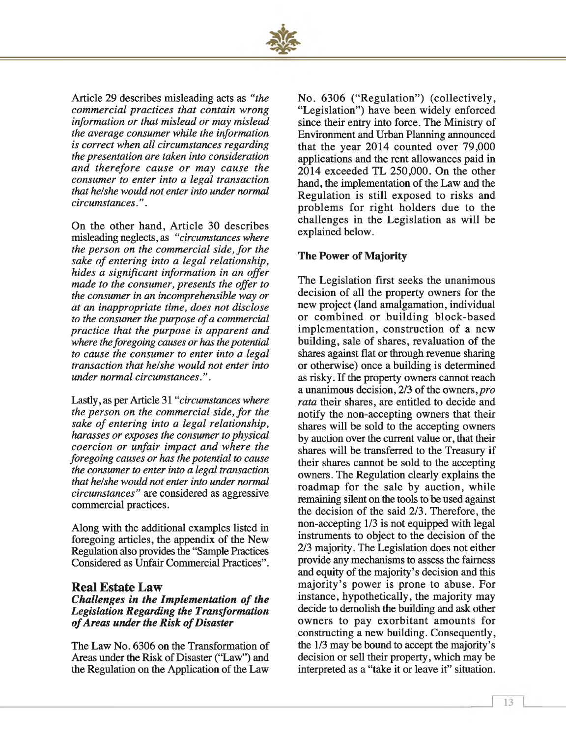

Article 29 describes misleading acts as *"the commercial practices that contain wrong information or that mislead or may mislead the average consumer while the information is correct when all circumstances regarding the presentation are taken into consideration and therefore cause or may cause the consumer to enter into a legal transaction that he!she would not enter into under normal circumstances.".*

On the other hand, Article 30 describes misleading neglects, as *"circumstances where the person on the commercial side, for the* sake of entering into a legal relationship, *hides a significant information in an offer made to the consumer, presents the offer to the consumer in an incomprehensible way or at an inappropriate time, does not disclose* to the consumer the purpose of a commercial *practice that the purpose is apparent and where the foregoing causes or has the potential to cause the consumer to enter into a legal transaction that he/she would not enter into under normal circumstances.".*

Lastly, as per Article 31 "*circumstances where the person on the commercial side, for the sake of entering into a legal relationship, harasses or exposes the consumer to physical coercion or unfair impact and where the foregoing causes or has the potential to cause the consumer to enter into a legal transaction that he/she would not enter into under normal circumstances"* are considered as aggressive commercial practices.

Along with the additional examples listed in foregoing articles, the appendix of the New Regulation also provides the "Sample Practices Considered as Unfair Commercial Practices".

### **Real Estate Law**

# *Challenges in the Implementation of the Legislation Regarding the Transformation of Areas under the Risk of Disaster*

The Law No. 6306 on the Transformation of Areas under the Risk of Disaster ("Law") and the Regulation on the Application of the Law

No. 6306 ("Regulation") (collectively, "Legislation") have been widely enforced since their entry into force. The Ministry of Environment and Urban Planning announced that the year 2014 counted over 79,000 applications and the rent allowances paid in 2014 exceeded TL 250,000. On the other hand, the implementation of the Law and the Regulation is still exposed to risks and problems for right holders due to the challenges in the Legislation as will be explained below.

### **The Power of Majority**

The Legislation first seeks the unanimous decision of all the property owners for the new project (land amalgamation, individual or combined or building block-based implementation, construction of a new building, sale of shares, revaluation of the shares against flat or through revenue sharing or otherwise) once a building is determined as risky. If the property owners cannot reach a unanimous decision, 2/3 of the owners, pro *rata* their shares, are entitled to decide and notify the non-accepting owners that their shares will be sold to the accepting owners by auction over the current value or, that their shares will be transferred to the Treasury if their shares cannot be sold to the accepting owners. The Regulation clearly explains the roadmap for the sale by auction, while remaining silent on the tools to be used against the decision of the said 2/3. Therefore, the non-accepting 1/3 is not equipped with legal instruments to object to the decision of the 2/3 majority. The Legislation does not either provide any mechanisms to assess the fairness and equity of the majority's decision and this majority's power is prone to abuse. For instance, hypothetically, the majority may decide to demolish the building and ask other owners to pay exorbitant amounts for constructing a new building. Consequently, the 1/3 may be bound to accept the majority's decision or sell their property, which may be interpreted as a "take it or leave it" situation.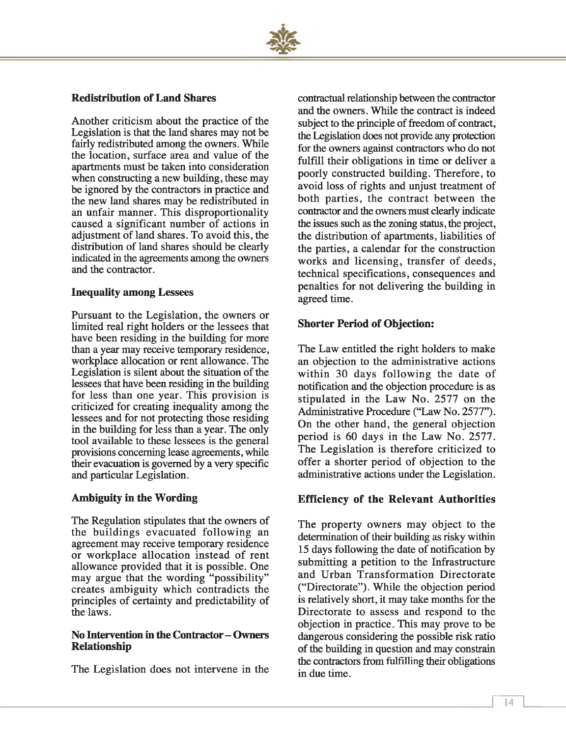

# **Redistribution of Land Shares**

Another criticism about the practice of the Legislation is that the land shares may not be fairly redistributed among the owners. While the location, surface area and value of the apartments must be taken into consideration when constructing a new building, these may be ignored by the contractors in practice and the new land shares may be redistributed in an unfair manner. This disproportionality caused a significant number of actions in adjustment of land shares. To avoid this, the distribution of land shares should be clearly indicated in the agreements among the owners and the contractor.

# **Inequality among Lessees**

Pursuant to the Legislation, the owners or limited real right holders or the lessees that have been residing in the building for more than a year may receive temporary residence, workplace allocation or rent allowance. The Legislation is silent about the situation of the lessees that have been residing in the building for less than one year. This provision is criticized for creating inequality among the lessees and for not protecting those residing in the building for less than a year. The only tool available to these lessees is the general provisions concerning lease agreements, while their evacuation is governed by a very specific and particular Legislation.

# **Ambiguity in the Wording**

The Regulation stipulates that the owners of the buildings evacuated following an agreement may receive temporary residence or workplace allocation instead of rent allowance provided that it is possible. One may argue that the wording "possibility" creates ambiguity which contradicts the principles of certainty and predictability of the laws.

### **No Intervention in the Contractor - Owners Relationship**

The Legislation does not intervene in the

contractual relationship between the contractor and the owners. While the contract is indeed subject to the principle of freedom of contract, the Legislation does not provide any protection for the owners against contractors who do not fulfill their obligations in time or deliver a poorly constructed building. Therefore, to avoid loss of rights and unjust treatment of both parties, the contract between the contractor and the owners must clearly indicate the issues such as the zoning status, the project, the distribution of apartments, liabilities of the parties, a calendar for the construction works and licensing, transfer of deeds, technical specifications, consequences and penalties for not delivering the building in agreed time.

# **Shorter Period of Objection:**

The Law entitled the right holders to make an objection to the administrative actions within 30 days following the date of notification and the objection procedure is as stipulated in the Law No. 2577 on the Administrative Procedure ("Law No. 2577"). On the other hand, the general objection period is 60 days in the Law No. 2577. The Legislation is therefore criticized to offer a shorter period of objection to the administrative actions under the Legislation.

# **Efficiency of the Relevant Authorities**

The property owners may object to the determination of their building as risky within 15 days following the date of notification by submitting a petition to the Infrastructure and Urban Transformation Directorate ("Directorate"). While the objection period is relatively short, it may take months for the Directorate to assess and respond to the objection in practice. This may prove to be dangerous considering the possible risk ratio of the building in question and may constrain the contractors from fulfilling their obligations in due time.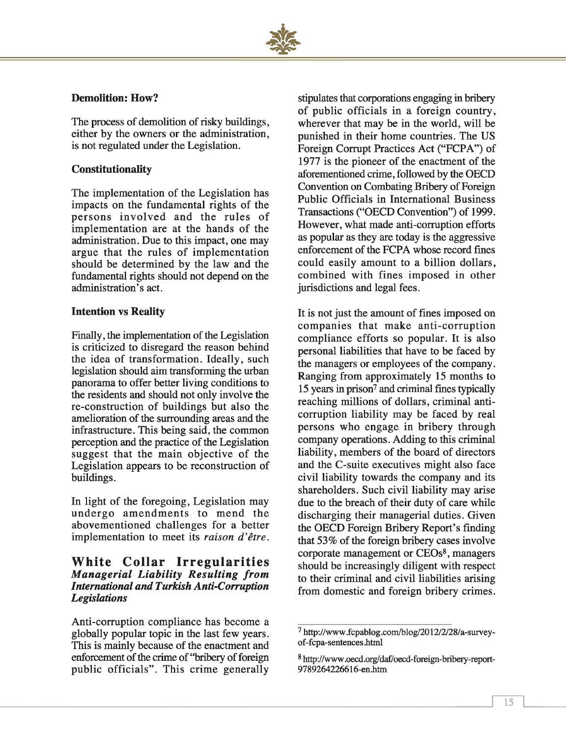# **Demolition: How?**

The process of demolition of risky buildings, either by the owners or the administration, is not regulated under the Legislation.

# **Constitutionality**

The implementation of the Legislation has impacts on the fundamental rights of the persons involved and the rules of implementation are at the hands of the administration. Due to this impact, one may argue that the rules of implementation should be determined by the law and the fundamental rights should not depend on the administration's act.

# **Intention vs Reality**

Finally, the implementation of the Legislation is criticized to disregard the reason behind the idea of transformation. Ideally, such legislation should aim transforming the urban panorama to offer better living conditions to the residents and should not only involve the re-construction of buildings but also the amelioration of the surrounding areas and the infrastructure. This being said, the common perception and the practice of the Legislation suggest that the main objective of the Legislation appears to be reconstruction of buildings.

In light of the foregoing, Legislation may undergo amendments to mend the abovementioned challenges for a better implementation to meet its *raison d 'être.*

# **White Collar Irregularities** *M an agerial L ia b ility R esu ltin g fro m International and Turkish Anti-Corruption Legislations*

Anti-corruption compliance has become a globally popular topic in the last few years. This is mainly because of the enactment and enforcement of the crime of "bribery of foreign public officials". This crime generally

stipulates that corporations engaging in bribery of public officials in a foreign country, wherever that may be in the world, will be punished in their home countries. The US Foreign Corrupt Practices Act ("FCPA") of 1977 is the pioneer of the enactment of the aforementioned crime, followed by the OECD Convention on Combating Bribery of Foreign Public Officials in International Business Transactions ("OECD Convention") of 1999. However, what made anti-corruption efforts as popular as they are today is the aggressive enforcement of the FCPA whose record fines could easily amount to a billion dollars, combined with fines imposed in other jurisdictions and legal fees.

It is not just the amount of fines imposed on companies that make anti-corruption compliance efforts so popular. It is also personal liabilities that have to be faced by the managers or employees of the company. Ranging from approximately 15 months to 15 years in prison7 and criminal fines typically reaching millions of dollars, criminal anticorruption liability may be faced by real persons who engage in bribery through company operations. Adding to this criminal liability, members of the board of directors and the C-suite executives might also face civil liability towards the company and its shareholders. Such civil liability may arise due to the breach of their duty of care while discharging their managerial duties. Given the OECD Foreign Bribery Report's finding that 53% of the foreign bribery cases involve corporate management or CEOs8, managers should be increasingly diligent with respect to their criminal and civil liabilities arising from domestic and foreign bribery crimes.

<sup>7</sup> <http://www> .fcpablog .com/blog/2012/2/28/a-surveyof-fcpa-sentences .html

<sup>8</sup> http://www.oecd.org/daf/oecd-foreign-bribery-report-9789264226616-en.htm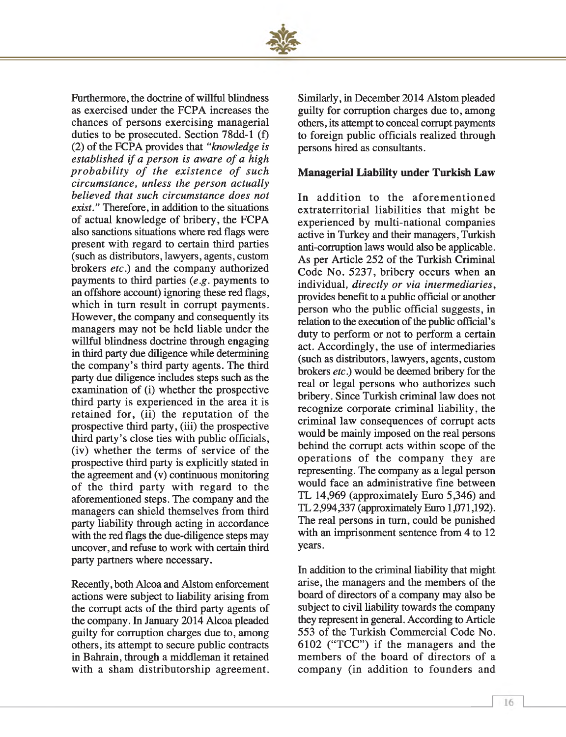

Furthermore, the doctrine of willful blindness as exercised under the FCPA increases the chances of persons exercising managerial duties to be prosecuted. Section 78dd-l (f) (2) of the FCPA provides that *"knowledge is established if a person is aware of a high probability of the existence of such circumstance, unless the person actually believed that such circumstance does not exist."* Therefore, in addition to the situations of actual knowledge of bribery, the FCPA also sanctions situations where red flags were present with regard to certain third parties (such as distributors, lawyers, agents, custom brokers *etc.*) and the company authorized payments to third parties (*e.g*. payments to an offshore account) ignoring these red flags, which in turn result in corrupt payments. However, the company and consequently its managers may not be held liable under the willful blindness doctrine through engaging in third party due diligence while determining the company's third party agents. The third party due diligence includes steps such as the examination of (i) whether the prospective third party is experienced in the area it is retained for, (ii) the reputation of the prospective third party, (iii) the prospective third party's close ties with public officials, (iv) w hether the terms of service of the prospective third party is explicitly stated in the agreement and (v) continuous monitoring of the third party with regard to the aforementioned steps. The company and the managers can shield themselves from third party liability through acting in accordance with the red flags the due-diligence steps may uncover, and refuse to work with certain third party partners where necessary.

Recently, both Alcoa and Alstom enforcement actions were subject to liability arising from the corrupt acts of the third party agents of the company. In January 2014 Alcoa pleaded guilty for corruption charges due to, among others, its attempt to secure public contracts in Bahrain, through a middleman it retained with a sham distributorship agreement.

Similarly, in December 2014 Alstom pleaded guilty for corruption charges due to, among others, its attempt to conceal corrupt payments to foreign public officials realized through persons hired as consultants.

# **Managerial Liability under Turkish Law**

In addition to the aforementioned extraterritorial liabilities that might be experienced by multi-national companies active in Turkey and their managers, Turkish anti-corruption laws would also be applicable. As per Article 252 of the Turkish Criminal Code No. 5237, bribery occurs when an individual, *directly or via intermediaries,* provides benefit to a public official or another person who the public official suggests, in relation to the execution of the public official's duty to perform or not to perform a certain act. Accordingly, the use of intermediaries (such as distributors, lawyers, agents, custom brokers *etc)* would be deemed bribery for the real or legal persons who authorizes such bribery. Since Turkish criminal law does not recognize corporate criminal liability, the criminal law consequences of corrupt acts would be mainly imposed on the real persons behind the corrupt acts within scope of the operations of the company they are representing. The company as a legal person would face an administrative fine between TL 14,969 (approximately Euro 5,346) and TL 2,994337 (approximately Euro 1,071,192). The real persons in turn, could be punished with an imprisonment sentence from 4 to 12 years.

In addition to the criminal liability that might arise, the managers and the members of the board of directors of a company may also be subject to civil liability towards the company they represent in general. According to Article 553 of the Turkish Commercial Code No.  $6102$  ("TCC") if the managers and the members of the board of directors of a company (in addition to founders and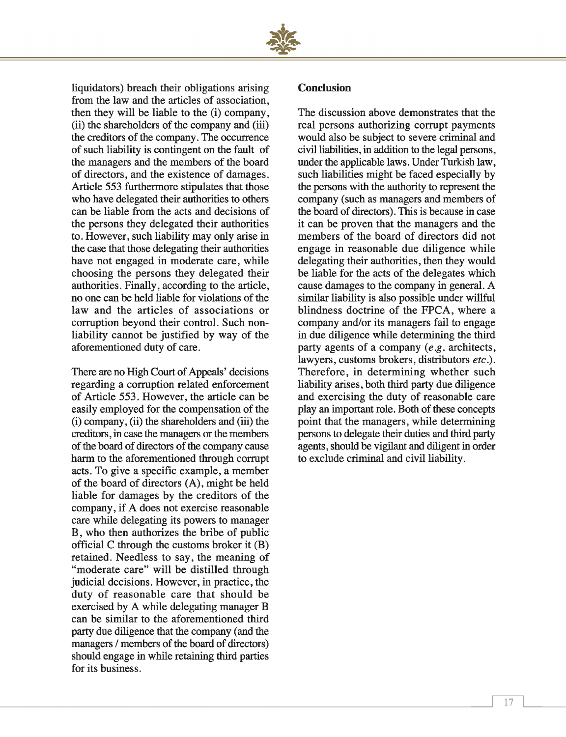

liquidators) breach their obligations arising from the law and the articles of association, then they will be liable to the (i) company, (ii) the shareholders of the company and (iii) the creditors of the company. The occurrence of such liability is contingent on the fault of the managers and the members of the board of directors, and the existence of damages. Article 553 furthermore stipulates that those who have delegated their authorities to others can be liable from the acts and decisions of the persons they delegated their authorities to. However, such liability may only arise in the case that those delegating their authorities have not engaged in moderate care, while choosing the persons they delegated their authorities. Finally, according to the article, no one can be held liable for violations of the law and the articles of associations or corruption beyond their control. Such nonliability cannot be justified by way of the aforementioned duty of care.

There are no High Court of Appeals' decisions regarding a corruption related enforcement of Article 553. However, the article can be easily employed for the compensation of the (i) company, (ii) the shareholders and (iii) the creditors, in case the managers or the members of the board of directors of the company cause harm to the aforementioned through corrupt acts. To give a specific example, a member of the board of directors (A), might be held liable for damages by the creditors of the company, if A does not exercise reasonable care while delegating its powers to manager B, who then authorizes the bribe of public official C through the customs broker it (B) retained. Needless to say, the meaning of "moderate care" will be distilled through judicial decisions. However, in practice, the duty of reasonable care that should be exercised by A while delegating manager B can be similar to the aforementioned third party due diligence that the company (and the managers / members of the board of directors) should engage in while retaining third parties for its business.

#### **Conclusion**

The discussion above demonstrates that the real persons authorizing corrupt payments would also be subject to severe criminal and civil liabilities, in addition to the legal persons, under the applicable laws. Under Turkish law, such liabilities might be faced especially by the persons with the authority to represent the company (such as managers and members of the board of directors). This is because in case it can be proven that the managers and the members of the board of directors did not engage in reasonable due diligence while delegating their authorities, then they would be liable for the acts of the delegates which cause damages to the company in general. A similar liability is also possible under willful blindness doctrine of the FPCA, where a company and/or its managers fail to engage in due diligence while determining the third party agents of a company (*e.g*. architects, lawyers, customs brokers, distributors *etc).* Therefore, in determining whether such liability arises, both third party due diligence and exercising the duty of reasonable care play an important role. Both of these concepts point that the managers, while determining persons to delegate their duties and third party agents, should be vigilant and diligent in order to exclude criminal and civil liability.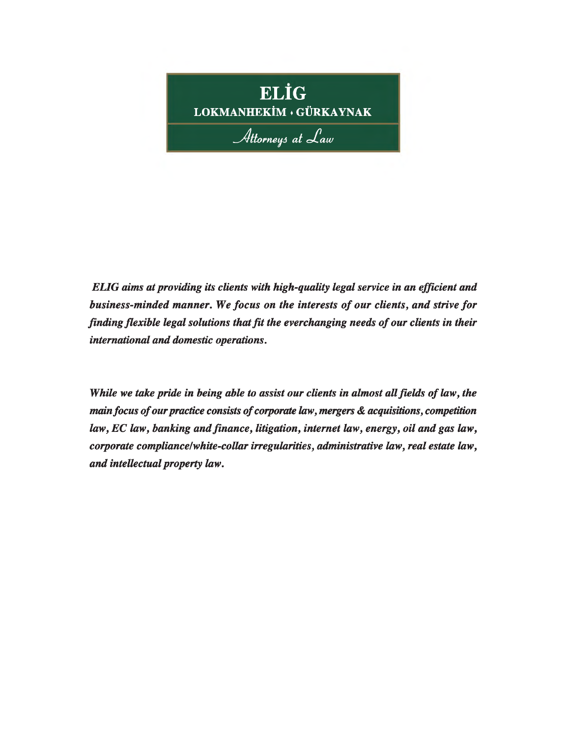

*ELIG aims at providing its clients with high-quality legal service in an efficient and business-minded manner. We focus on the interests of our clients, and strive for finding flexible legal solutions that fit the everchanging needs of our clients in their international and domestic operations.*

*While we take pride in being able to assist our clients in almost all fields of law, the main focus of our practice consists of corporate law, mergers & acquisitions, competition law, EC law, banking and finance, litigation, internet law, energy, oil and gas law, corporate compliance/white-collar irregularities, administrative law, real estate law, and intellectual property law.*